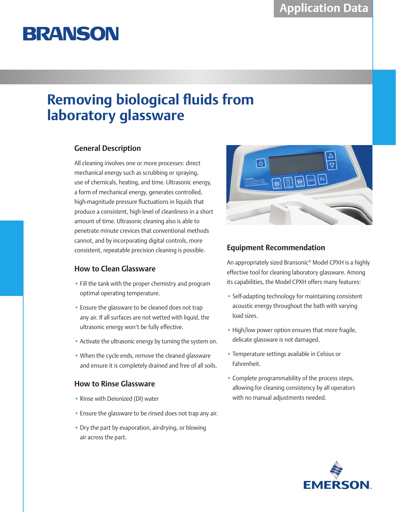# **BRANSON**

## **Removing biological fluids from laboratory glassware**

### **General Description**

All cleaning involves one or more processes: direct mechanical energy such as scrubbing or spraying, use of chemicals, heating, and time. Ultrasonic energy, a form of mechanical energy, generates controlled, high-magnitude pressure fluctuations in liquids that produce a consistent, high level of cleanliness in a short amount of time. Ultrasonic cleaning also is able to penetrate minute crevices that conventional methods cannot, and by incorporating digital controls, more consistent, repeatable precision cleaning is possible.

### **How to Clean Glassware**

- Fill the tank with the proper chemistry and program optimal operating temperature.
- Ensure the glassware to be cleaned does not trap any air. If all surfaces are not wetted with liquid, the ultrasonic energy won't be fully effective.
- Activate the ultrasonic energy by turning the system on.
- When the cycle ends, remove the cleaned glassware and ensure it is completely drained and free of all soils.

### **How to Rinse Glassware**

- Rinse with Deionized (DI) water
- Ensure the glassware to be rinsed does not trap any air.
- Dry the part by evaporation, air-drying, or blowing air across the part.



### **Equipment Recommendation**

An appropriately sized Bransonic® Model CPXH is a highly effective tool for cleaning laboratory glassware. Among its capabilities, the Model CPXH offers many features:

- Self-adapting technology for maintaining consistent acoustic energy throughout the bath with varying load sizes.
- High/low power option ensures that more fragile, delicate glassware is not damaged.
- Temperature settings available in Celsius or Fahrenheit.
- Complete programmability of the process steps, allowing for cleaning consistency by all operators with no manual adjustments needed.